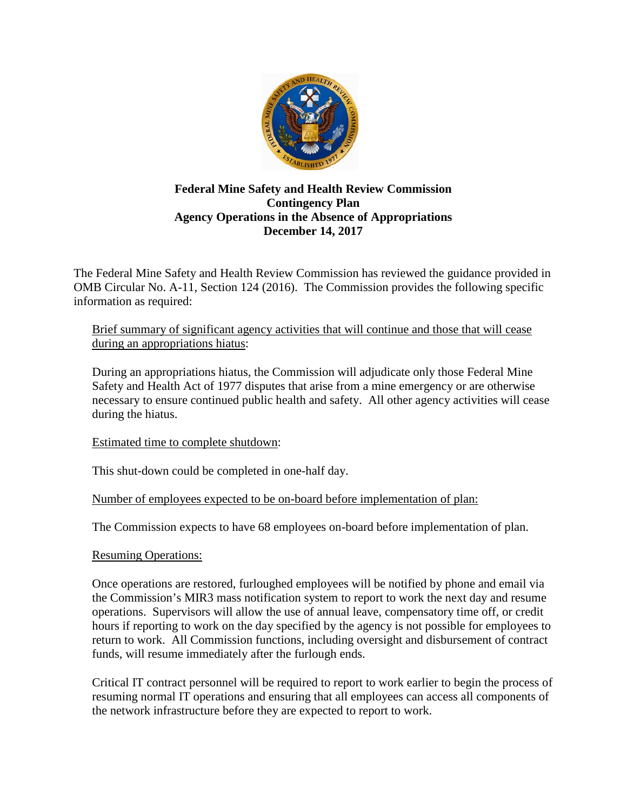

## **Federal Mine Safety and Health Review Commission Contingency Plan Agency Operations in the Absence of Appropriations December 14, 2017**

The Federal Mine Safety and Health Review Commission has reviewed the guidance provided in OMB Circular No. A-11, Section 124 (2016). The Commission provides the following specific information as required:

## Brief summary of significant agency activities that will continue and those that will cease during an appropriations hiatus:

During an appropriations hiatus, the Commission will adjudicate only those Federal Mine Safety and Health Act of 1977 disputes that arise from a mine emergency or are otherwise necessary to ensure continued public health and safety. All other agency activities will cease during the hiatus.

Estimated time to complete shutdown:

This shut-down could be completed in one-half day.

Number of employees expected to be on-board before implementation of plan:

The Commission expects to have 68 employees on-board before implementation of plan.

## Resuming Operations:

Once operations are restored, furloughed employees will be notified by phone and email via the Commission's MIR3 mass notification system to report to work the next day and resume operations. Supervisors will allow the use of annual leave, compensatory time off, or credit hours if reporting to work on the day specified by the agency is not possible for employees to return to work. All Commission functions, including oversight and disbursement of contract funds, will resume immediately after the furlough ends.

Critical IT contract personnel will be required to report to work earlier to begin the process of resuming normal IT operations and ensuring that all employees can access all components of the network infrastructure before they are expected to report to work.